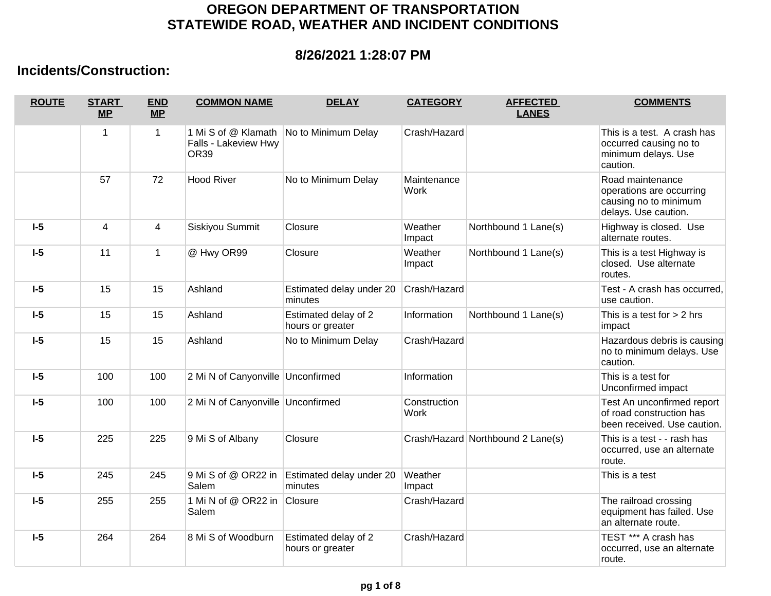## **OREGON DEPARTMENT OF TRANSPORTATION STATEWIDE ROAD, WEATHER AND INCIDENT CONDITIONS**

## **8/26/2021 1:28:07 PM**

## **Incidents/Construction:**

| <b>ROUTE</b> | <b>START</b><br>MP | <b>END</b><br><b>MP</b> | <b>COMMON NAME</b>                | <b>DELAY</b>                             | <b>CATEGORY</b>             | <b>AFFECTED</b><br><b>LANES</b>   | <b>COMMENTS</b>                                                                               |
|--------------|--------------------|-------------------------|-----------------------------------|------------------------------------------|-----------------------------|-----------------------------------|-----------------------------------------------------------------------------------------------|
|              | 1                  | 1                       | Falls - Lakeview Hwy<br>OR39      | 1 Mi S of @ Klamath No to Minimum Delay  | Crash/Hazard                |                                   | This is a test. A crash has<br>occurred causing no to<br>minimum delays. Use<br>caution.      |
|              | 57                 | 72                      | <b>Hood River</b>                 | No to Minimum Delay                      | Maintenance<br><b>Work</b>  |                                   | Road maintenance<br>operations are occurring<br>causing no to minimum<br>delays. Use caution. |
| $I-5$        | 4                  | 4                       | Siskiyou Summit                   | Closure                                  | Weather<br>Impact           | Northbound 1 Lane(s)              | Highway is closed. Use<br>alternate routes.                                                   |
| $I-5$        | 11                 | $\mathbf{1}$            | @ Hwy OR99                        | Closure                                  | Weather<br>Impact           | Northbound 1 Lane(s)              | This is a test Highway is<br>closed. Use alternate<br>routes.                                 |
| $I-5$        | 15                 | 15                      | Ashland                           | Estimated delay under 20<br>minutes      | Crash/Hazard                |                                   | Test - A crash has occurred,<br>use caution.                                                  |
| $I-5$        | 15                 | 15                      | Ashland                           | Estimated delay of 2<br>hours or greater | Information                 | Northbound 1 Lane(s)              | This is a test for > 2 hrs<br>impact                                                          |
| $I-5$        | 15                 | 15                      | Ashland                           | No to Minimum Delay                      | Crash/Hazard                |                                   | Hazardous debris is causing<br>no to minimum delays. Use<br>caution.                          |
| $I-5$        | 100                | 100                     | 2 Mi N of Canyonville Unconfirmed |                                          | Information                 |                                   | This is a test for<br>Unconfirmed impact                                                      |
| $I-5$        | 100                | 100                     | 2 Mi N of Canyonville Unconfirmed |                                          | Construction<br><b>Work</b> |                                   | Test An unconfirmed report<br>of road construction has<br>been received. Use caution.         |
| $I-5$        | 225                | 225                     | 9 Mi S of Albany                  | Closure                                  |                             | Crash/Hazard Northbound 2 Lane(s) | This is a test - - rash has<br>occurred, use an alternate<br>route.                           |
| $I-5$        | 245                | 245                     | 9 Mi S of @ OR22 in<br>Salem      | Estimated delay under 20<br>minutes      | Weather<br>Impact           |                                   | This is a test                                                                                |
| $I-5$        | 255                | 255                     | 1 Mi N of @ OR22 in<br>Salem      | Closure                                  | Crash/Hazard                |                                   | The railroad crossing<br>equipment has failed. Use<br>an alternate route.                     |
| $I-5$        | 264                | 264                     | 8 Mi S of Woodburn                | Estimated delay of 2<br>hours or greater | Crash/Hazard                |                                   | TEST *** A crash has<br>occurred, use an alternate<br>route.                                  |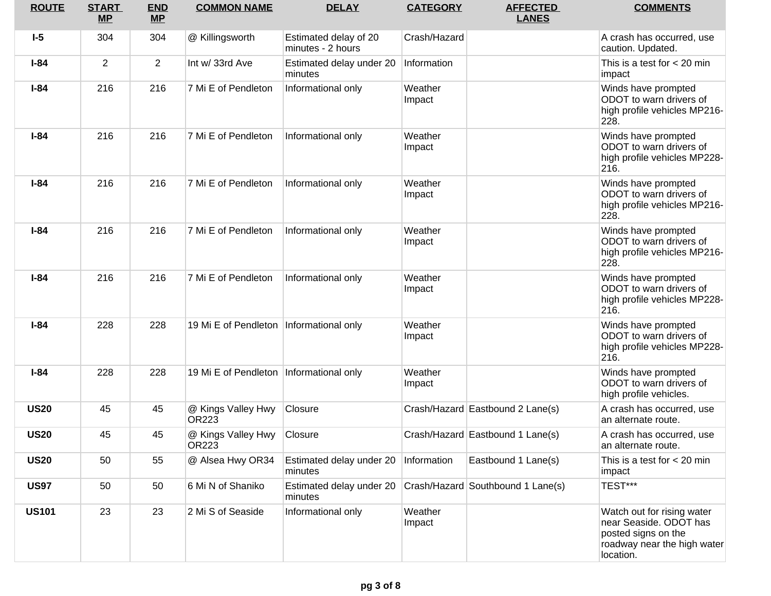| <b>ROUTE</b> | <b>START</b><br>$MP$ | <b>END</b><br>MP | <b>COMMON NAME</b>                        | <b>DELAY</b>                               | <b>CATEGORY</b>   | <b>AFFECTED</b><br><b>LANES</b>   | <b>COMMENTS</b>                                                                                                         |
|--------------|----------------------|------------------|-------------------------------------------|--------------------------------------------|-------------------|-----------------------------------|-------------------------------------------------------------------------------------------------------------------------|
| $I-5$        | 304                  | 304              | @ Killingsworth                           | Estimated delay of 20<br>minutes - 2 hours | Crash/Hazard      |                                   | A crash has occurred, use<br>caution. Updated.                                                                          |
| $I-84$       | $\overline{2}$       | $\overline{2}$   | Int w/ 33rd Ave                           | Estimated delay under 20<br>minutes        | Information       |                                   | This is a test for $<$ 20 min<br>impact                                                                                 |
| $I-84$       | 216                  | 216              | 7 Mi E of Pendleton                       | Informational only                         | Weather<br>Impact |                                   | Winds have prompted<br>ODOT to warn drivers of<br>high profile vehicles MP216-<br>228.                                  |
| $I-84$       | 216                  | 216              | 7 Mi E of Pendleton                       | Informational only                         | Weather<br>Impact |                                   | Winds have prompted<br>ODOT to warn drivers of<br>high profile vehicles MP228-<br>216.                                  |
| $I-84$       | 216                  | 216              | 7 Mi E of Pendleton                       | Informational only                         | Weather<br>Impact |                                   | Winds have prompted<br>ODOT to warn drivers of<br>high profile vehicles MP216-<br>228.                                  |
| $I-84$       | 216                  | 216              | 7 Mi E of Pendleton                       | Informational only                         | Weather<br>Impact |                                   | Winds have prompted<br>ODOT to warn drivers of<br>high profile vehicles MP216-<br>228.                                  |
| $I-84$       | 216                  | 216              | 7 Mi E of Pendleton                       | Informational only                         | Weather<br>Impact |                                   | Winds have prompted<br>ODOT to warn drivers of<br>high profile vehicles MP228-<br>216.                                  |
| $I-84$       | 228                  | 228              | 19 Mi E of Pendleton   Informational only |                                            | Weather<br>Impact |                                   | Winds have prompted<br>ODOT to warn drivers of<br>high profile vehicles MP228-<br>216.                                  |
| $I-84$       | 228                  | 228              | 19 Mi E of Pendleton   Informational only |                                            | Weather<br>Impact |                                   | Winds have prompted<br>ODOT to warn drivers of<br>high profile vehicles.                                                |
| <b>US20</b>  | 45                   | 45               | @ Kings Valley Hwy<br>OR223               | Closure                                    |                   | Crash/Hazard Eastbound 2 Lane(s)  | A crash has occurred, use<br>an alternate route.                                                                        |
| <b>US20</b>  | 45                   | 45               | @ Kings Valley Hwy<br>OR223               | Closure                                    |                   | Crash/Hazard Eastbound 1 Lane(s)  | A crash has occurred. use<br>an alternate route.                                                                        |
| <b>US20</b>  | 50                   | 55               | @ Alsea Hwy OR34                          | Estimated delay under 20<br>minutes        | Information       | Eastbound 1 Lane(s)               | This is a test for $<$ 20 min<br>impact                                                                                 |
| <b>US97</b>  | 50                   | 50               | 6 Mi N of Shaniko                         | Estimated delay under 20<br>minutes        |                   | Crash/Hazard Southbound 1 Lane(s) | TEST***                                                                                                                 |
| <b>US101</b> | 23                   | 23               | 2 Mi S of Seaside                         | Informational only                         | Weather<br>Impact |                                   | Watch out for rising water<br>near Seaside. ODOT has<br>posted signs on the<br>roadway near the high water<br>location. |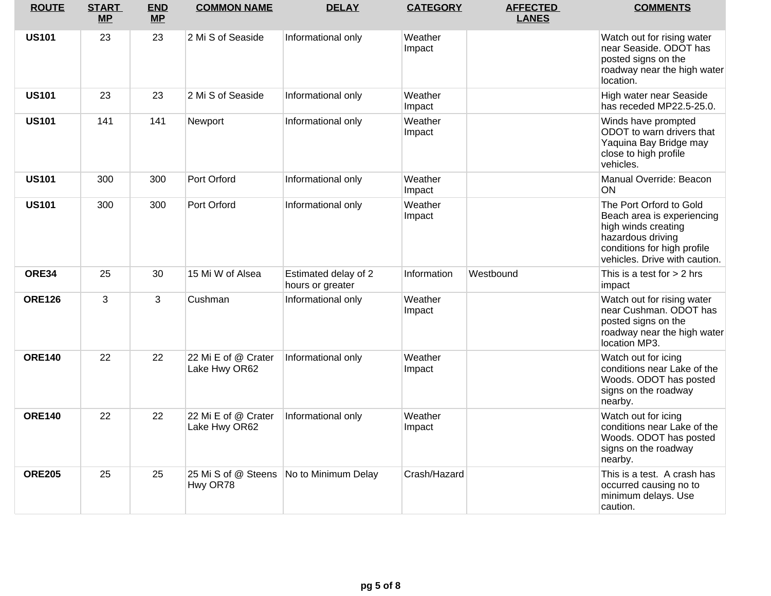| <b>ROUTE</b>  | <b>START</b><br><b>MP</b> | <b>END</b><br><b>MP</b> | <b>COMMON NAME</b>                   | <b>DELAY</b>                             | <b>CATEGORY</b>   | <b>AFFECTED</b><br><b>LANES</b> | <b>COMMENTS</b>                                                                                                                                                   |
|---------------|---------------------------|-------------------------|--------------------------------------|------------------------------------------|-------------------|---------------------------------|-------------------------------------------------------------------------------------------------------------------------------------------------------------------|
| <b>US101</b>  | 23                        | 23                      | 2 Mi S of Seaside                    | Informational only                       | Weather<br>Impact |                                 | Watch out for rising water<br>near Seaside. ODOT has<br>posted signs on the<br>roadway near the high water<br>location.                                           |
| <b>US101</b>  | 23                        | 23                      | 2 Mi S of Seaside                    | Informational only                       | Weather<br>Impact |                                 | High water near Seaside<br>has receded MP22.5-25.0.                                                                                                               |
| <b>US101</b>  | 141                       | 141                     | Newport                              | Informational only                       | Weather<br>Impact |                                 | Winds have prompted<br>ODOT to warn drivers that<br>Yaquina Bay Bridge may<br>close to high profile<br>vehicles.                                                  |
| <b>US101</b>  | 300                       | 300                     | Port Orford                          | Informational only                       | Weather<br>Impact |                                 | Manual Override: Beacon<br><b>ON</b>                                                                                                                              |
| <b>US101</b>  | 300                       | 300                     | Port Orford                          | Informational only                       | Weather<br>Impact |                                 | The Port Orford to Gold<br>Beach area is experiencing<br>high winds creating<br>hazardous driving<br>conditions for high profile<br>vehicles. Drive with caution. |
| ORE34         | 25                        | 30                      | 15 Mi W of Alsea                     | Estimated delay of 2<br>hours or greater | Information       | Westbound                       | This is a test for $> 2$ hrs<br>impact                                                                                                                            |
| <b>ORE126</b> | 3                         | 3                       | Cushman                              | Informational only                       | Weather<br>Impact |                                 | Watch out for rising water<br>near Cushman. ODOT has<br>posted signs on the<br>roadway near the high water<br>location MP3.                                       |
| <b>ORE140</b> | 22                        | 22                      | 22 Mi E of @ Crater<br>Lake Hwy OR62 | Informational only                       | Weather<br>Impact |                                 | Watch out for icing<br>conditions near Lake of the<br>Woods. ODOT has posted<br>signs on the roadway<br>nearby.                                                   |
| <b>ORE140</b> | 22                        | 22                      | 22 Mi E of @ Crater<br>Lake Hwy OR62 | Informational only                       | Weather<br>Impact |                                 | Watch out for icing<br>conditions near Lake of the<br>Woods. ODOT has posted<br>signs on the roadway<br>nearby.                                                   |
| <b>ORE205</b> | 25                        | 25                      | Hwy OR78                             | 25 Mi S of @ Steens No to Minimum Delay  | Crash/Hazard      |                                 | This is a test. A crash has<br>occurred causing no to<br>minimum delays. Use<br>caution.                                                                          |